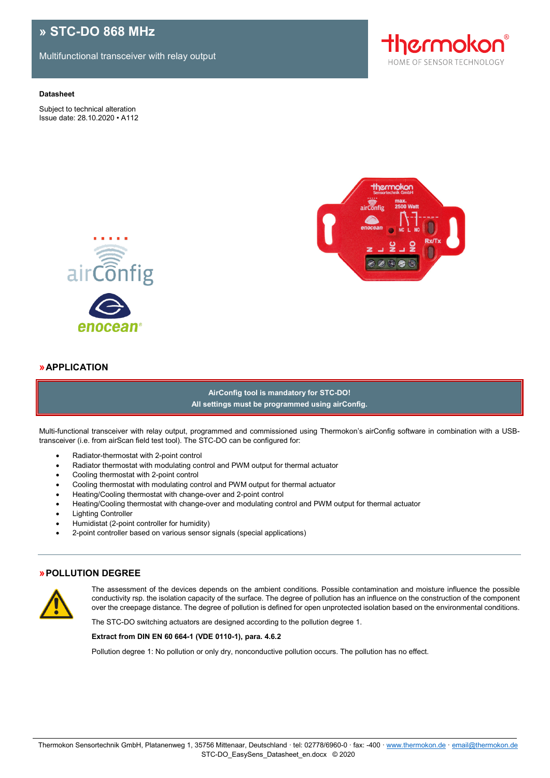# **» STC-DO 868 MHz**

Multifunctional transceiver with relay output

#### **Datasheet**

Subject to technical alteration Issue date: 28.10.2020 • A112







### **»APPLICATION**

**AirConfig tool is mandatory for STC-DO! All settings must be programmed using airConfig.**

Multi-functional transceiver with relay output, programmed and commissioned using Thermokon's airConfig software in combination with a USBtransceiver (i.e. from airScan field test tool). The STC-DO can be configured for:

- Radiator-thermostat with 2-point control
- Radiator thermostat with modulating control and PWM output for thermal actuator
- Cooling thermostat with 2-point control
- Cooling thermostat with modulating control and PWM output for thermal actuator
- Heating/Cooling thermostat with change-over and 2-point control
- Heating/Cooling thermostat with change-over and modulating control and PWM output for thermal actuator
- Lighting Controller
- Humidistat (2-point controller for humidity)
- 2-point controller based on various sensor signals (special applications)

#### **»POLLUTION DEGREE**



The assessment of the devices depends on the ambient conditions. Possible contamination and moisture influence the possible conductivity rsp. the isolation capacity of the surface. The degree of pollution has an influence on the construction of the component over the creepage distance. The degree of pollution is defined for open unprotected isolation based on the environmental conditions.

The STC-DO switching actuators are designed according to the pollution degree 1.

#### **Extract from DIN EN 60 664-1 (VDE 0110-1), para. 4.6.2**

Pollution degree 1: No pollution or only dry, nonconductive pollution occurs. The pollution has no effect.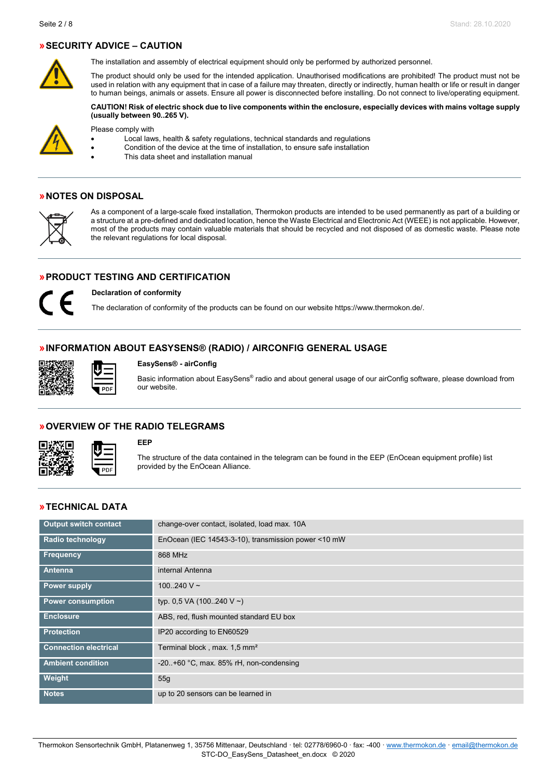# **»SECURITY ADVICE – CAUTION**



The installation and assembly of electrical equipment should only be performed by authorized personnel.

The product should only be used for the intended application. Unauthorised modifications are prohibited! The product must not be used in relation with any equipment that in case of a failure may threaten, directly or indirectly, human health or life or result in danger to human beings, animals or assets. Ensure all power is disconnected before installing. Do not connect to live/operating equipment.

**CAUTION! Risk of electric shock due to live components within the enclosure, especially devices with mains voltage supply (usually between 90..265 V).**



Please comply with

• Local laws, health & safety regulations, technical standards and regulations

- Condition of the device at the time of installation, to ensure safe installation
	- This data sheet and installation manual

### **»NOTES ON DISPOSAL**



As a component of a large-scale fixed installation, Thermokon products are intended to be used permanently as part of a building or a structure at a pre-defined and dedicated location, hence the Waste Electrical and Electronic Act (WEEE) is not applicable. However, most of the products may contain valuable materials that should be recycled and not disposed of as domestic waste. Please note the relevant regulations for local disposal.

# **»PRODUCT TESTING AND CERTIFICATION**



**Declaration of conformity**

The declaration of conformity of the products can be found on our websit[e https://www.thermokon.de/.](https://www.thermokon.de/downloadcenter/)

# **»INFORMATION ABOUT EASYSENS® (RADIO) / AIRCONFIG GENERAL USAGE**



#### **EasySens® - airConfig**

Basic information about EasySens® radio and about general usage of our airConfig software, please download from our website.

### **»OVERVIEW OF THE RADIO TELEGRAMS**



### **EEP**

The structure of the data contained in the telegram can be found in the EEP (EnOcean equipment profile) list provided by the EnOcean Alliance.

### **»TECHNICAL DATA**

| <b>Output switch contact</b> | change-over contact, isolated, load max. 10A        |
|------------------------------|-----------------------------------------------------|
| <b>Radio technology</b>      | EnOcean (IEC 14543-3-10), transmission power <10 mW |
| <b>Frequency</b>             | 868 MHz                                             |
| <b>Antenna</b>               | internal Antenna                                    |
| Power supply                 | 100.240 V $\sim$                                    |
| <b>Power consumption</b>     | typ. 0,5 VA (100240 V ~)                            |
| <b>Enclosure</b>             | ABS, red, flush mounted standard EU box             |
| <b>Protection</b>            | IP20 according to EN60529                           |
| <b>Connection electrical</b> | Terminal block, max. 1,5 mm <sup>2</sup>            |
| <b>Ambient condition</b>     | $-20.1+60$ °C, max. 85% rH, non-condensing          |
| Weight                       | 55q                                                 |
| <b>Notes</b>                 | up to 20 sensors can be learned in                  |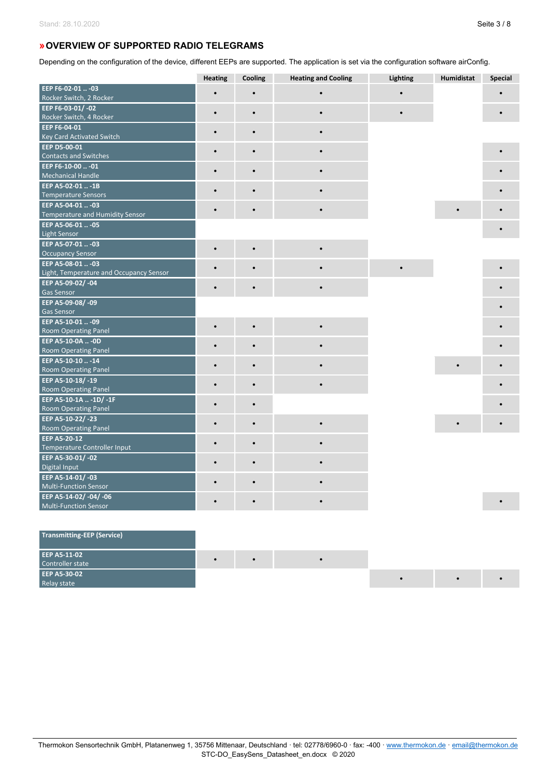# **»OVERVIEW OF SUPPORTED RADIO TELEGRAMS**

Depending on the configuration of the device, different EEPs are supported. The application is set via the configuration software airConfig.

|                                              | <b>Heating</b> | Cooling   | <b>Heating and Cooling</b> | Lighting | Humidistat | Special |
|----------------------------------------------|----------------|-----------|----------------------------|----------|------------|---------|
| EEP F6-02-01  -03                            |                |           |                            |          |            |         |
| Rocker Switch, 2 Rocker                      |                |           |                            |          |            |         |
| EEP F6-03-01/-02                             | $\bullet$      | $\bullet$ |                            |          |            |         |
| Rocker Switch, 4 Rocker                      |                |           |                            |          |            |         |
| EEP F6-04-01                                 | $\bullet$      | $\bullet$ |                            |          |            |         |
| Key Card Activated Switch                    |                |           |                            |          |            |         |
| EEP D5-00-01                                 |                |           |                            |          |            |         |
| <b>Contacts and Switches</b>                 |                |           |                            |          |            |         |
| EEP F6-10-00  - 01                           |                |           |                            |          |            |         |
| <b>Mechanical Handle</b>                     |                |           |                            |          |            |         |
| EEP A5-02-01  -1B                            |                |           |                            |          |            |         |
| <b>Temperature Sensors</b>                   |                |           |                            |          |            |         |
| EEP A5-04-01  -03                            | $\bullet$      |           |                            |          | $\bullet$  |         |
| Temperature and Humidity Sensor              |                |           |                            |          |            |         |
| EEP A5-06-01  - 05                           |                |           |                            |          |            |         |
| <b>Light Sensor</b>                          |                |           |                            |          |            |         |
| EEP A5-07-01  -03<br><b>Occupancy Sensor</b> | $\bullet$      | $\bullet$ |                            |          |            |         |
| EEP A5-08-01  -03                            |                |           |                            |          |            |         |
| Light, Temperature and Occupancy Sensor      |                |           |                            |          |            |         |
| EEP A5-09-02/-04                             |                |           |                            |          |            |         |
| <b>Gas Sensor</b>                            | $\bullet$      |           |                            |          |            |         |
| EEP A5-09-08/-09                             |                |           |                            |          |            |         |
| <b>Gas Sensor</b>                            |                |           |                            |          |            |         |
| EEP A5-10-01  -09                            |                |           |                            |          |            |         |
| <b>Room Operating Panel</b>                  | $\bullet$      | $\bullet$ |                            |          |            |         |
| EEP A5-10-0A  - 0D                           |                |           |                            |          |            |         |
| <b>Room Operating Panel</b>                  |                |           |                            |          |            |         |
| EEP A5-10-10 - 14                            |                |           |                            |          |            |         |
| <b>Room Operating Panel</b>                  | $\bullet$      | $\bullet$ |                            |          |            |         |
| EEP A5-10-18/-19                             |                |           |                            |          |            |         |
| <b>Room Operating Panel</b>                  | $\bullet$      | $\bullet$ |                            |          |            |         |
| EEP A5-10-1A  -1D/ -1F                       |                | $\bullet$ |                            |          |            |         |
| <b>Room Operating Panel</b>                  |                |           |                            |          |            |         |
| EEP A5-10-22/-23                             | $\bullet$      | $\bullet$ |                            |          |            |         |
| <b>Room Operating Panel</b>                  |                |           |                            |          |            |         |
| EEP A5-20-12                                 | $\bullet$      | $\bullet$ |                            |          |            |         |
| Temperature Controller Input                 |                |           |                            |          |            |         |
| EEP A5-30-01/-02                             |                |           |                            |          |            |         |
| Digital Input                                |                |           |                            |          |            |         |
| EEP A5-14-01/-03                             |                | $\bullet$ |                            |          |            |         |
| <b>Multi-Function Sensor</b>                 |                |           |                            |          |            |         |
| EEP A5-14-02/-04/-06                         |                |           |                            |          |            |         |
| <b>Multi-Function Sensor</b>                 |                |           |                            |          |            |         |

| Transmitting-EEP (Service)              |           |  |  |  |
|-----------------------------------------|-----------|--|--|--|
| <b>EEP A5-11-02</b><br>Controller state | $\bullet$ |  |  |  |
| <b>EEP A5-30-02</b>                     |           |  |  |  |
| Relay state                             |           |  |  |  |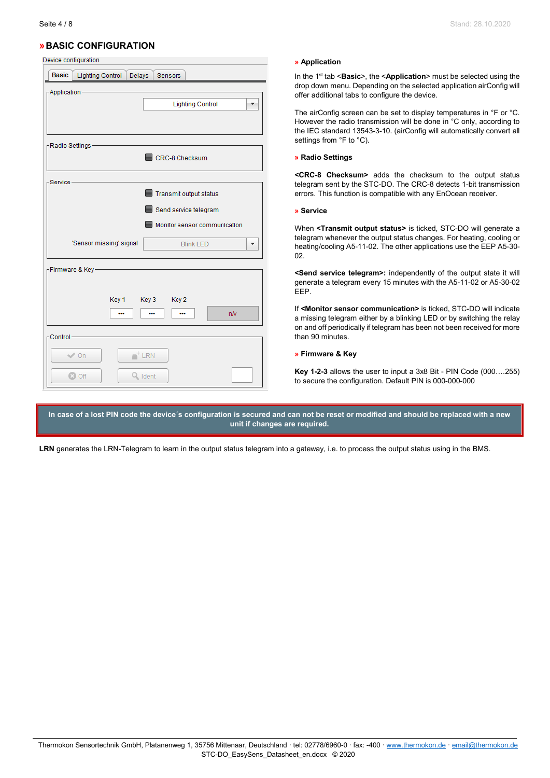# **»BASIC CONFIGURATION**

Device configuration

| <b>Basic</b>                           | Lighting Control Delays        |         | <b>Sensors</b>                                  |                              |    |
|----------------------------------------|--------------------------------|---------|-------------------------------------------------|------------------------------|----|
| - Application                          |                                |         | <b>Lighting Control</b>                         |                              |    |
| <sub>F</sub> Radio Settings –          |                                |         | CRC-8 Checksum                                  |                              |    |
| Service-                               |                                |         | Transmit output status<br>Send service telegram |                              |    |
| 'Sensor missing' signal                |                                |         | <b>Blink LED</b>                                | Monitor sensor communication |    |
| - Firmware & Key-                      | Key 1 Key 3 Key 2<br>          |         |                                                 |                              | nN |
| Control-<br>$\vee$ On<br><b>83 Off</b> | $\overline{\phantom{a}}^+$ LRN | Q Ident |                                                 |                              |    |

#### **» Application**

In the 1st tab <**Basic**>, the <**Application**> must be selected using the drop down menu. Depending on the selected application airConfig will offer additional tabs to configure the device.

The airConfig screen can be set to display temperatures in °F or °C. However the radio transmission will be done in °C only, according to the IEC standard 13543-3-10. (airConfig will automatically convert all settings from °F to °C).

#### **» Radio Settings**

**<CRC-8 Checksum>** adds the checksum to the output status telegram sent by the STC-DO. The CRC-8 detects 1-bit transmission errors. This function is compatible with any EnOcean receiver.

#### **» Service**

When **<Transmit output status>** is ticked, STC-DO will generate a telegram whenever the output status changes. For heating, cooling or heating/cooling A5-11-02. The other applications use the EEP A5-30- 02.

**<Send service telegram>:** independently of the output state it will generate a telegram every 15 minutes with the A5-11-02 or A5-30-02 EEP.

If **<Monitor sensor communication>** is ticked, STC-DO will indicate a missing telegram either by a blinking LED or by switching the relay on and off periodically if telegram has been not been received for more than 90 minutes.

#### **» Firmware & Key**

**Key 1-2-3** allows the user to input a 3x8 Bit - PIN Code (000….255) to secure the configuration. Default PIN is 000-000-000

**In case of a lost PIN code the device´s configuration is secured and can not be reset or modified and should be replaced with a new unit if changes are required.**

**LRN** generates the LRN-Telegram to learn in the output status telegram into a gateway, i.e. to process the output status using in the BMS.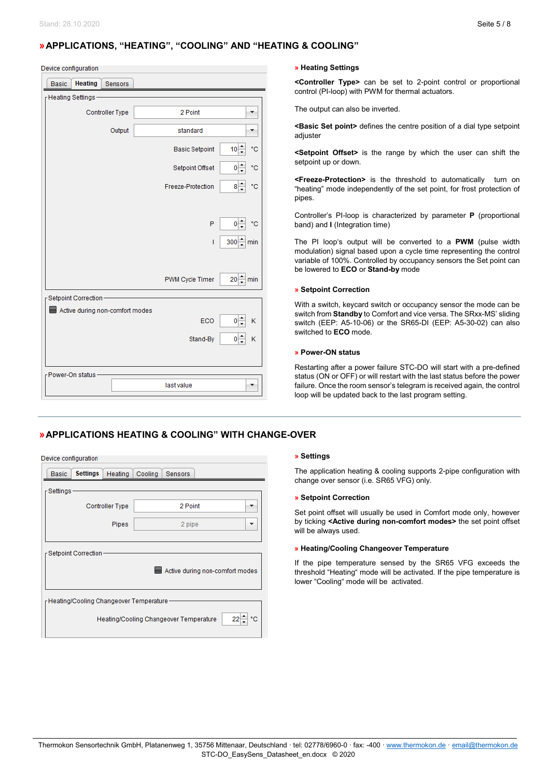# **»APPLICATIONS, "HEATING", "COOLING" AND "HEATING & COOLING"**

| Device configuration |  |
|----------------------|--|

| <b>Heating</b><br><b>Basic</b><br>Sensors |                        |                                       |
|-------------------------------------------|------------------------|---------------------------------------|
| FHeating Settings-                        |                        |                                       |
| <b>Controller Type</b>                    | 2 Point                |                                       |
| Output                                    | standard               |                                       |
|                                           | <b>Basic Setpoint</b>  | $10 -$<br>۴C                          |
|                                           | Setpoint Offset        | ۰c<br>0                               |
|                                           | Freeze-Protection      | $8\frac{1}{7}$<br>$^{\circ} \text{C}$ |
|                                           |                        |                                       |
|                                           | P                      | $0^{-4}$<br>۴C                        |
|                                           | T                      | 300 min                               |
|                                           |                        |                                       |
|                                           | <b>PWM Cycle Timer</b> | $20 - \text{min}$                     |
| Setpoint Correction-                      |                        |                                       |
| Active during non-comfort modes           |                        |                                       |
|                                           | ECO                    | $0\frac{1}{2}$<br>Κ                   |
|                                           | Stand-By               | $\circ \div$<br>Κ                     |
|                                           |                        |                                       |
| - Power-On status                         |                        |                                       |
|                                           | last value             |                                       |

### **» Heating Settings**

**<Controller Type>** can be set to 2-point control or proportional control (PI-loop) with PWM for thermal actuators.

The output can also be inverted.

**<Basic Set point>** defines the centre position of a dial type setpoint adiuster

**<Setpoint Offset>** is the range by which the user can shift the setpoint up or down.

**<Freeze-Protection>** is the threshold to automatically turn on "heating" mode independently of the set point, for frost protection of pipes.

Controller's PI-loop is characterized by parameter **P** (proportional band) and **I** (Integration time)

The PI loop's output will be converted to a **PWM** (pulse width modulation) signal based upon a cycle time representing the control variable of 100%. Controlled by occupancy sensors the Set point can be lowered to **ECO** or **Stand-by** mode

#### **» Setpoint Correction**

With a switch, keycard switch or occupancy sensor the mode can be switch from **Standby** to Comfort and vice versa. The SRxx-MS' sliding switch (EEP: A5-10-06) or the SR65-DI (EEP: A5-30-02) can also switched to **ECO** mode.

#### **» Power-ON status**

Restarting after a power failure STC-DO will start with a pre-defined status (ON or OFF) or will restart with the last status before the power failure. Once the room sensor's telegram is received again, the control loop will be updated back to the last program setting.

# **»APPLICATIONS HEATING & COOLING" WITH CHANGE-OVER**

| Active during non-comfort modes              |  |  |  |  |  |  |  |
|----------------------------------------------|--|--|--|--|--|--|--|
|                                              |  |  |  |  |  |  |  |
| FHeating/Cooling Changeover Temperature -    |  |  |  |  |  |  |  |
| Heating/Cooling Changeover Temperature<br>22 |  |  |  |  |  |  |  |
|                                              |  |  |  |  |  |  |  |

#### **» Settings**

The application heating & cooling supports 2-pipe configuration with change over sensor (i.e. SR65 VFG) only.

#### **» Setpoint Correction**

Set point offset will usually be used in Comfort mode only, however by ticking **<Active during non-comfort modes>** the set point offset will be always used.

#### **» Heating/Cooling Changeover Temperature**

If the pipe temperature sensed by the SR65 VFG exceeds the threshold "Heating" mode will be activated. If the pipe temperature is lower "Cooling" mode will be activated.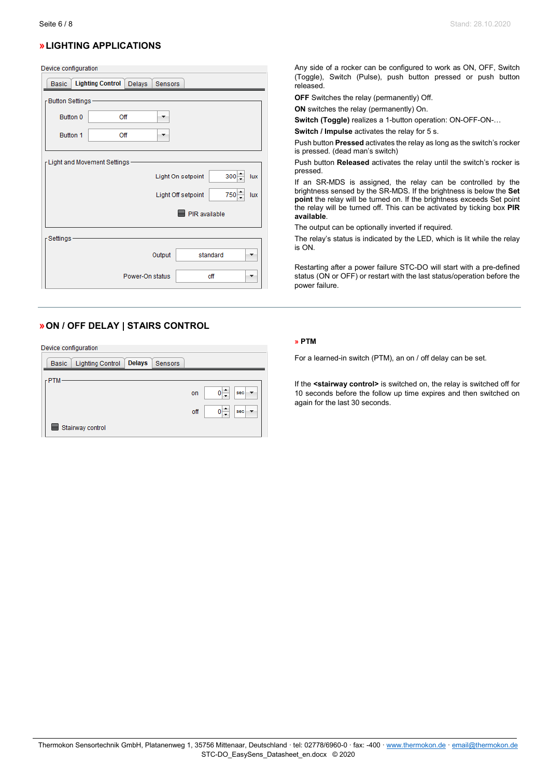# **»LIGHTING APPLICATIONS**

#### Device configuration

| <b>Basic</b>                   | <b>Lighting Control</b>         | Delays          | <b>Sensors</b> |                    |                |
|--------------------------------|---------------------------------|-----------------|----------------|--------------------|----------------|
| <sub>Γ</sub> Button Settings – |                                 |                 |                |                    |                |
| Button 0                       | Off                             |                 |                |                    |                |
| Button 1                       | Off                             |                 | ▼              |                    |                |
|                                | r Light and Movement Settings - |                 |                | Light On setpoint  | $300 -$<br>lux |
|                                |                                 |                 |                | Light Off setpoint | $750 -$<br>lux |
|                                |                                 |                 |                | PIR available      |                |
| <sub>Γ</sub> Settings −        |                                 |                 |                |                    |                |
|                                |                                 |                 | Output         |                    | standard       |
|                                |                                 | Power-On status |                |                    | off            |

# **»ON / OFF DELAY | STAIRS CONTROL**

Device configuration

| <b>Lighting Control</b><br><b>Basic</b> | <b>Delays</b> | <b>Sensors</b> |     |     |
|-----------------------------------------|---------------|----------------|-----|-----|
| $r$ PTM                                 |               |                |     |     |
|                                         |               |                | on  | sec |
|                                         |               |                | off | sec |
| Stairway control                        |               |                |     |     |

Any side of a rocker can be configured to work as ON, OFF, Switch (Toggle), Switch (Pulse), push button pressed or push button released.

**OFF** Switches the relay (permanently) Off.

**ON** switches the relay (permanently) On.

**Switch (Toggle)** realizes a 1-button operation: ON-OFF-ON-…

**Switch / Impulse** activates the relay for 5 s.

Push button **Pressed** activates the relay as long as the switch's rocker is pressed. (dead man's switch)

Push button **Released** activates the relay until the switch's rocker is pressed.

If an SR-MDS is assigned, the relay can be controlled by the brightness sensed by the SR-MDS. If the brightness is below the **Set point** the relay will be turned on. If the brightness exceeds Set point the relay will be turned off. This can be activated by ticking box **PIR available**.

The output can be optionally inverted if required.

The relay's status is indicated by the LED, which is lit while the relay is ON.

Restarting after a power failure STC-DO will start with a pre-defined status (ON or OFF) or restart with the last status/operation before the power failure.

#### **» PTM**

For a learned-in switch (PTM), an on / off delay can be set.

If the **<stairway control>** is switched on, the relay is switched off for 10 seconds before the follow up time expires and then switched on again for the last 30 seconds.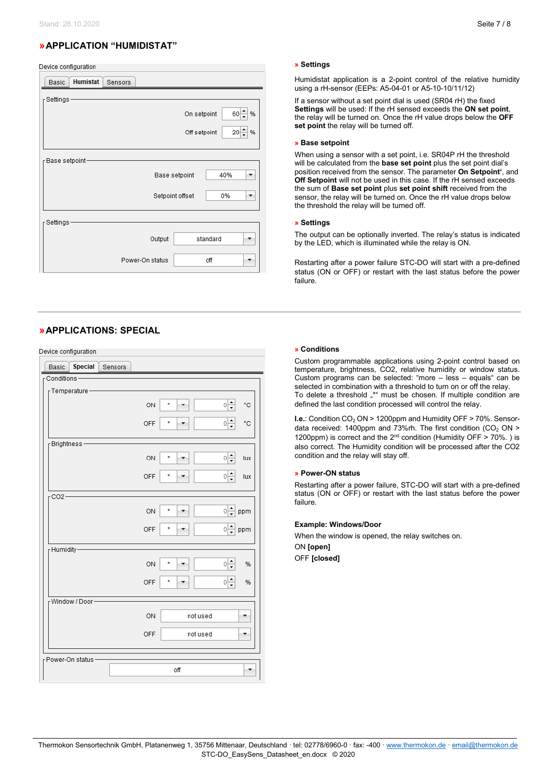# **»APPLICATION "HUMIDISTAT"**

| Device configuration        |                 |         |                 |                      |          |                      |
|-----------------------------|-----------------|---------|-----------------|----------------------|----------|----------------------|
| <b>Basic</b>                | <b>Humistat</b> | Sensors |                 |                      |          |                      |
| Settings-                   |                 |         |                 |                      |          |                      |
|                             |                 |         |                 | On setpoint          |          | $60 -$<br>%          |
|                             |                 |         |                 | Off setpoint         |          | 20 <sup>1</sup><br>% |
| <sub>Γ</sub> Base setpoint− |                 |         |                 |                      |          |                      |
|                             |                 |         |                 | <b>Base setpoint</b> | 40%      | ▼                    |
|                             |                 |         |                 | Setpoint offset      | 0%       | ۰                    |
| Settings-                   |                 |         |                 |                      |          |                      |
|                             |                 |         | Output          |                      | standard |                      |
|                             |                 |         | Power-On status |                      | off      |                      |

# **»APPLICATIONS: SPECIAL**

<u>and and come for the state</u>

| Device comiguration            |         |            |          |                                         |
|--------------------------------|---------|------------|----------|-----------------------------------------|
| <b>Special</b><br><b>Basic</b> | Sensors |            |          |                                         |
| $r$ Conditions -               |         |            |          |                                         |
| - Temperature                  |         |            |          |                                         |
|                                |         |            |          |                                         |
|                                |         | ON         | ×        | $\frac{1}{\sqrt{2}}$<br>۴C              |
|                                |         | <b>OFF</b> | ÷        | ۴Ć                                      |
|                                |         |            |          | $0\Big  \div$                           |
| -Brightness                    |         |            |          |                                         |
|                                |         |            |          |                                         |
|                                |         | ON         | ×,       | $\frac{1}{\sqrt{2}}$<br>lux             |
|                                |         |            | *        |                                         |
|                                |         | <b>OFF</b> |          | $0\Big  \div$<br>lux                    |
| $CO2-$                         |         |            |          |                                         |
|                                |         |            |          |                                         |
|                                |         | ON         | ×        | $\frac{1}{\tau}$<br>$\mathbf{0}$<br>ppm |
|                                |         | <b>OFF</b> | ×        |                                         |
|                                |         |            |          | $\frac{1}{\sqrt{2}}$<br>ppm             |
| FHumidity-                     |         |            |          |                                         |
|                                |         |            |          |                                         |
|                                |         | ON         | ×        | $\frac{1}{x}$<br>%<br>$\mathbf{0}$      |
|                                |         | <b>OFF</b> | ×        | $0\Big  \div$<br>%                      |
|                                |         |            |          |                                         |
| Window / Door-                 |         |            |          |                                         |
|                                |         |            |          |                                         |
|                                |         | ON         | not used |                                         |
|                                |         | <b>OFF</b> | not used |                                         |
|                                |         |            |          |                                         |
| r Power-On status-             |         |            |          |                                         |
|                                |         |            | off      |                                         |
|                                |         |            |          |                                         |
|                                |         |            |          |                                         |

#### **» Settings**

Humidistat application is a 2-point control of the relative humidity using a rH-sensor (EEPs: A5-04-01 or A5-10-10/11/12)

If a sensor without a set point dial is used (SR04 rH) the fixed **Settings** will be used: If the rH sensed exceeds the **ON set point**, the relay will be turned on. Once the rH value drops below the **OFF set point** the relay will be turned off.

#### **» Base setpoint**

When using a sensor with a set point, i.e. SR04P rH the threshold will be calculated from the **base set point** plus the set point dial's position received from the sensor. The parameter **On Setpoint'**, and **Off Setpoint** will not be used in this case. If the rH sensed exceeds the sum of **Base set point** plus **set point shift** received from the sensor, the relay will be turned on. Once the rH value drops below the threshold the relay will be turned off.

#### **» Settings**

The output can be optionally inverted. The relay's status is indicated by the LED, which is illuminated while the relay is ON.

Restarting after a power failure STC-DO will start with a pre-defined status (ON or OFF) or restart with the last status before the power failure.

#### **» Conditions**

Custom programmable applications using 2-point control based on temperature, brightness, CO2, relative humidity or window status. Custom programs can be selected: "more – less – equals" can be selected in combination with a threshold to turn on or off the relay. To delete a threshold "\*" must be chosen. If multiple condition are defined the last condition processed will control the relay.

**I.e.: Condition CO<sub>2</sub> ON > 1200ppm and Humidity OFF > 70%. Sensor**data received: 1400ppm and 73%rh. The first condition  $(CO_2 ON >$ 1200ppm) is correct and the  $2^{nd}$  condition (Humidity OFF  $> 70\%$ .) is also correct. The Humidity condition will be processed after the CO2 condition and the relay will stay off.

#### **» Power-ON status**

Restarting after a power failure, STC-DO will start with a pre-defined status (ON or OFF) or restart with the last status before the power failure.

#### **Example: Windows/Door**

When the window is opened, the relay switches on. ON **[open]**

OFF **[closed]**